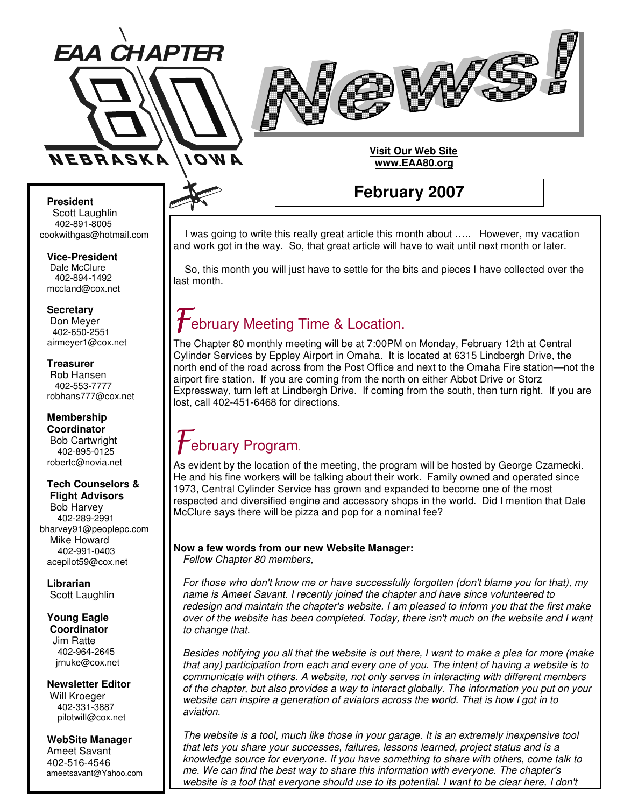



## **Visit Our Web Site www.EAA80.org**

#### **President** Scott Laughlin

402-891-8005 cookwithgas@hotmail.com

**Vice-President** Dale McClure 402-894-1492 mccland@cox.net

**Secretary**

Don Meyer 402-650-2551 airmeyer1@cox.net

**Treasurer** Rob Hansen 402-553-7777 robhans777@cox.net

## **Membership Coordinator** Bob Cartwright

402-895-0125 robertc@novia.net

#### **Tech Counselors & Flight Advisors**

Bob Harvey 402-289-2991 bharvey91@peoplepc.com Mike Howard 402-991-0403 acepilot59@cox.net

**Librarian** Scott Laughlin

#### **Young Eagle Coordinator**

Jim Ratte 402-964-2645 jrnuke@cox.net

**Newsletter Editor**

Will Kroeger 402-331-3887 pilotwill@cox.net

## **WebSite Manager**

Ameet Savant 402-516-4546 ameetsavant@Yahoo.com

# **February 2007**

I was going to write this really great article this month about ….. However, my vacation and work got in the way. So, that great article will have to wait until next month or later.

So, this month you will just have to settle for the bits and pieces I have collected over the last month.

# **February Meeting Time & Location.**

The Chapter 80 monthly meeting will be at 7:00PM on Monday, February 12th at Central Cylinder Services by Eppley Airport in Omaha. It is located at 6315 Lindbergh Drive, the north end of the road across from the Post Office and next to the Omaha Fire station—not the airport fire station. If you are coming from the north on either Abbot Drive or Storz Expressway, turn left at Lindbergh Drive. If coming from the south, then turn right. If you are lost, call 402-451-6468 for directions.

## $\boldsymbol{t}$ ebruary Program.

As evident by the location of the meeting, the program will be hosted by George Czarnecki. He and his fine workers will be talking about their work. Family owned and operated since 1973, Central Cylinder Service has grown and expanded to become one of the most respected and diversified engine and accessory shops in the world. Did I mention that Dale McClure says there will be pizza and pop for a nominal fee?

## **Now a few words from our new Website Manager:** *Fellow Chapter 80 members,*

*For those who don't know me or have successfully forgotten (don't blame you for that), my name is Ameet Savant. I recently joined the chapter and have since volunteered to redesign and maintain the chapter's website. I am pleased to inform you that the first make over of the website has been completed. Today, there isn't much on the website and I want to change that.*

Besides notifying you all that the website is out there. I want to make a plea for more (make *that any) participation from each and every one of you. The intent of having a website is to communicate with others. A website, not only serves in interacting with different members of the chapter, but also provides a way to interact globally. The information you put on your website can inspire a generation of aviators across the world. That is how I got in to aviation.*

*The website is a tool, much like those in your garage. It is an extremely inexpensive tool that lets you share your successes, failures, lessons learned, project status and is a knowledge source for everyone. If you have something to share with others, come talk to me. We can find the best way to share this information with everyone. The chapter's* website is a tool that everyone should use to its potential. I want to be clear here, I don't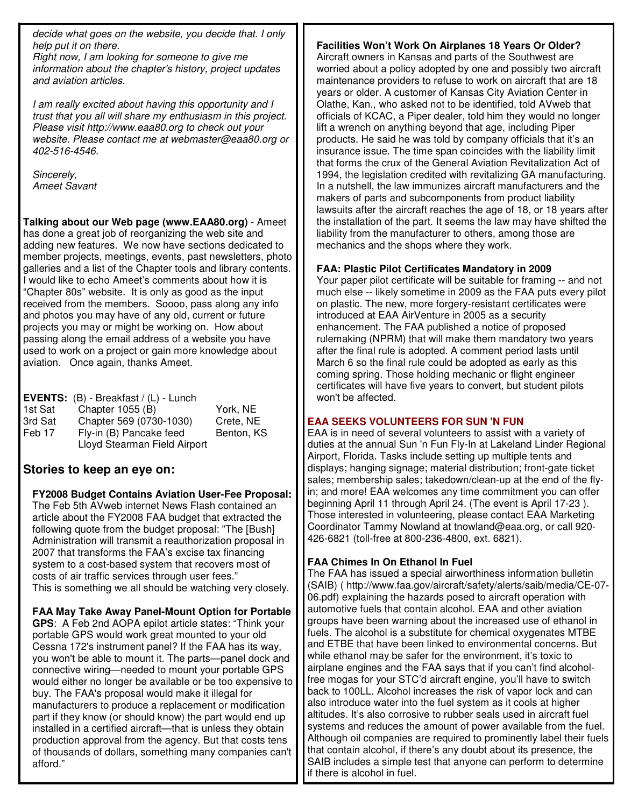*decide what goes on the website, you decide that. I only help put it on there.*

*Right now, I am looking for someone to give me information about the chapter's history, project updates and aviation articles.*

*I am really excited about having this opportunity and I trust that you all will share my enthusiasm in this project. Please visit http://www.eaa80.org to check out your website. Please contact me at webmaster@eaa80.org or 402-516-4546.*

*Sincerely, Ameet Savant*

**Talking about our Web page (www.EAA80.org)** - Ameet has done a great job of reorganizing the web site and adding new features. We now have sections dedicated to member projects, meetings, events, past newsletters, photo galleries and a list of the Chapter tools and library contents. I would like to echo Ameet's comments about how it is "Chapter 80s" website. It is only as good as the input received from the members. Soooo, pass along any info and photos you may have of any old, current or future projects you may or might be working on. How about passing along the email address of a website you have used to work on a project or gain more knowledge about aviation. Once again, thanks Ameet.

|         | <b>EVENTS:</b> (B) - Breakfast / (L) - Lunch |            |
|---------|----------------------------------------------|------------|
| 1st Sat | Chapter 1055 (B)                             | York, NE   |
| 3rd Sat | Chapter 569 (0730-1030)                      | Crete, NE  |
| Feb 17  | Fly-in (B) Pancake feed                      | Benton, KS |
|         | Lloyd Stearman Field Airport                 |            |

## **Stories to keep an eye on:**

**FY2008 Budget Contains Aviation User-Fee Proposal:** The Feb 5th AVweb internet News Flash contained an article about the FY2008 FAA budget that extracted the following quote from the budget proposal: "The [Bush] Administration will transmit a reauthorization proposal in 2007 that transforms the FAA's excise tax financing system to a cost-based system that recovers most of costs of air traffic services through user fees." This is something we all should be watching very closely.

**FAA May Take Away Panel-Mount Option for Portable GPS**: A Feb 2nd AOPA epilot article states: "Think your portable GPS would work great mounted to your old Cessna 172's instrument panel? If the FAA has its way, you won't be able to mount it. The parts—panel dock and connective wiring—needed to mount your portable GPS would either no longer be available or be too expensive to buy. The FAA's proposal would make it illegal for manufacturers to produce a replacement or modification part if they know (or should know) the part would end up installed in a certified aircraft—that is unless they obtain production approval from the agency. But that costs tens of thousands of dollars, something many companies can't afford."

## **Facilities Won't Work On Airplanes 18 Years Or Older?**

Aircraft owners in Kansas and parts of the Southwest are worried about a policy adopted by one and possibly two aircraft maintenance providers to refuse to work on aircraft that are 18 years or older. A customer of Kansas City Aviation Center in Olathe, Kan., who asked not to be identified, told AVweb that officials of KCAC, a Piper dealer, told him they would no longer lift a wrench on anything beyond that age, including Piper products. He said he was told by company officials that it's an insurance issue. The time span coincides with the liability limit that forms the crux of the General Aviation Revitalization Act of 1994, the legislation credited with revitalizing GA manufacturing. In a nutshell, the law immunizes aircraft manufacturers and the makers of parts and subcomponents from product liability lawsuits after the aircraft reaches the age of 18, or 18 years after the installation of the part. It seems the law may have shifted the liability from the manufacturer to others, among those are mechanics and the shops where they work.

## **FAA: Plastic Pilot Certificates Mandatory in 2009**

Your paper pilot certificate will be suitable for framing -- and not much else -- likely sometime in 2009 as the FAA puts every pilot on plastic. The new, more forgery-resistant certificates were introduced at EAA AirVenture in 2005 as a security enhancement. The FAA published a notice of proposed rulemaking (NPRM) that will make them mandatory two years after the final rule is adopted. A comment period lasts until March 6 so the final rule could be adopted as early as this coming spring. Those holding mechanic or flight engineer certificates will have five years to convert, but student pilots won't be affected.

## **EAA SEEKS VOLUNTEERS FOR SUN 'N FUN**

EAA is in need of several volunteers to assist with a variety of duties at the annual Sun 'n Fun Fly-In at Lakeland Linder Regional Airport, Florida. Tasks include setting up multiple tents and displays; hanging signage; material distribution; front-gate ticket sales; membership sales; takedown/clean-up at the end of the flyin; and more! EAA welcomes any time commitment you can offer beginning April 11 through April 24. (The event is April 17-23 ). Those interested in volunteering, please contact EAA Marketing Coordinator Tammy Nowland at tnowland@eaa.org, or call 920- 426-6821 (toll-free at 800-236-4800, ext. 6821).

## **FAA Chimes In On Ethanol In Fuel**

The FAA has issued a special airworthiness information bulletin (SAIB) ( http://www.faa.gov/aircraft/safety/alerts/saib/media/CE-07- 06.pdf) explaining the hazards posed to aircraft operation with automotive fuels that contain alcohol. EAA and other aviation groups have been warning about the increased use of ethanol in fuels. The alcohol is a substitute for chemical oxygenates MTBE and ETBE that have been linked to environmental concerns. But while ethanol may be safer for the environment, it's toxic to airplane engines and the FAA says that if you can't find alcoholfree mogas for your STC'd aircraft engine, you'll have to switch back to 100LL. Alcohol increases the risk of vapor lock and can also introduce water into the fuel system as it cools at higher altitudes. It's also corrosive to rubber seals used in aircraft fuel systems and reduces the amount of power available from the fuel. Although oil companies are required to prominently label their fuels that contain alcohol, if there's any doubt about its presence, the SAIB includes a simple test that anyone can perform to determine if there is alcohol in fuel.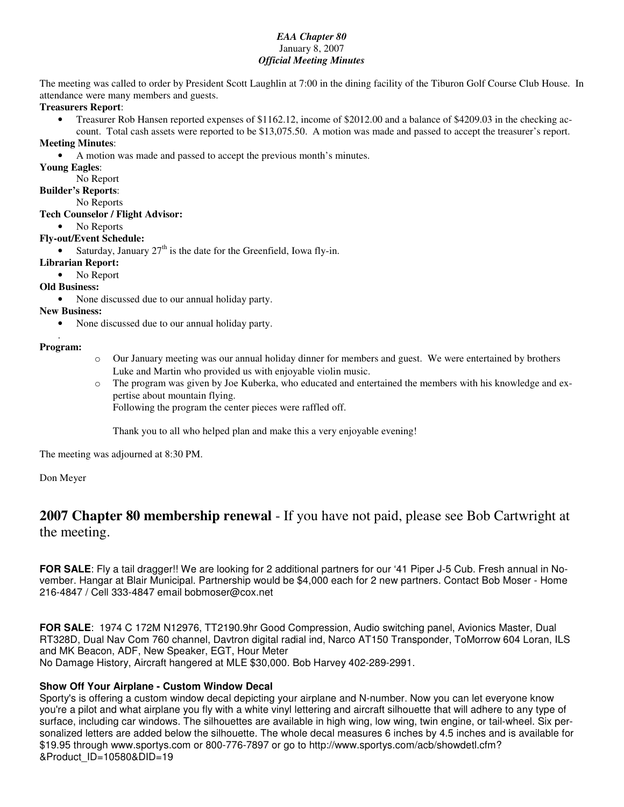## *EAA Chapter 80* January 8, 2007 *Official Meeting Minutes*

The meeting was called to order by President Scott Laughlin at 7:00 in the dining facility of the Tiburon Golf Course Club House. In attendance were many members and guests.

#### **Treasurers Report**:

• Treasurer Rob Hansen reported expenses of \$1162.12, income of \$2012.00 and a balance of \$4209.03 in the checking account. Total cash assets were reported to be \$13,075.50. A motion was made and passed to accept the treasurer's report.

#### **Meeting Minutes**:

- A motion was made and passed to accept the previous month's minutes.
- **Young Eagles**:
	- No Report

## **Builder's Reports**:

No Reports

## **Tech Counselor / Flight Advisor:**

• No Reports

## **Fly-out/Event Schedule:**

• Saturday, January  $27<sup>th</sup>$  is the date for the Greenfield, Iowa fly-in.

#### **Librarian Report:**

• No Report

## **Old Business:**

• None discussed due to our annual holiday party.

## **New Business:**

• None discussed due to our annual holiday party.

#### . **Program:**

- o Our January meeting was our annual holiday dinner for members and guest. We were entertained by brothers Luke and Martin who provided us with enjoyable violin music.
- o The program was given by Joe Kuberka, who educated and entertained the members with his knowledge and expertise about mountain flying.

Following the program the center pieces were raffled off.

Thank you to all who helped plan and make this a very enjoyable evening!

The meeting was adjourned at 8:30 PM.

Don Meyer

## **2007 Chapter 80 membership renewal** - If you have not paid, please see Bob Cartwright at the meeting.

**FOR SALE**: Fly a tail dragger!! We are looking for 2 additional partners for our '41 Piper J-5 Cub. Fresh annual in November. Hangar at Blair Municipal. Partnership would be \$4,000 each for 2 new partners. Contact Bob Moser - Home 216-4847 / Cell 333-4847 email bobmoser@cox.net

**FOR SALE**: 1974 C 172M N12976, TT2190.9hr Good Compression, Audio switching panel, Avionics Master, Dual RT328D, Dual Nav Com 760 channel, Davtron digital radial ind, Narco AT150 Transponder, ToMorrow 604 Loran, ILS and MK Beacon, ADF, New Speaker, EGT, Hour Meter No Damage History, Aircraft hangered at MLE \$30,000. Bob Harvey 402-289-2991.

## **Show Off Your Airplane - Custom Window Decal**

Sporty's is offering a custom window decal depicting your airplane and N-number. Now you can let everyone know you're a pilot and what airplane you fly with a white vinyl lettering and aircraft silhouette that will adhere to any type of surface, including car windows. The silhouettes are available in high wing, low wing, twin engine, or tail-wheel. Six personalized letters are added below the silhouette. The whole decal measures 6 inches by 4.5 inches and is available for \$19.95 through www.sportys.com or 800-776-7897 or go to http://www.sportys.com/acb/showdetl.cfm? &Product\_ID=10580&DID=19